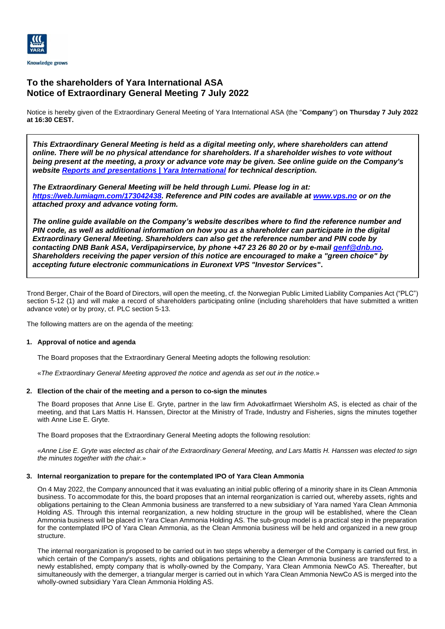

# **To the shareholders of Yara International ASA Notice of Extraordinary General Meeting 7 July 2022**

Notice is hereby given of the Extraordinary General Meeting of Yara International ASA (the "**Company**") **on Thursday 7 July 2022 at 16:30 CEST.**

*This Extraordinary General Meeting is held as a digital meeting only, where shareholders can attend online. There will be no physical attendance for shareholders. If a shareholder wishes to vote without being present at the meeting, a proxy or advance vote may be given. See online guide on the Company's website [Reports and presentations | Yara International](https://www.yara.com/investor-relations/reports-presentations/) for technical description.*

*The Extraordinary General Meeting will be held through Lumi. Please log in at: [https://web.lumiagm.com/173042438.](https://eur03.safelinks.protection.outlook.com/?url=https%3A%2F%2Fweb.lumiagm.com%2F173042438&data=05%7C01%7C%7C80229cb8714c4c98276408da49220485%7Cef8a53ea1a1c4189b792c832dcaea568%7C0%7C0%7C637902707698325594%7CUnknown%7CTWFpbGZsb3d8eyJWIjoiMC4wLjAwMDAiLCJQIjoiV2luMzIiLCJBTiI6Ik1haWwiLCJXVCI6Mn0%3D%7C3000%7C%7C%7C&sdata=9MCu8S7xFe8g3OwSioXBlCmOrTMk8KSbReHYvsgttxk%3D&reserved=0) Reference and PIN codes are available at [www.vps.no](http://www.vps.no/) or on the attached proxy and advance voting form.* 

*The online guide available on the Company's website describes where to find the reference number and PIN code, as well as additional information on how you as a shareholder can participate in the digital Extraordinary General Meeting. Shareholders can also get the reference number and PIN code by contacting DNB Bank ASA, Verdipapirservice, by phone +47 23 26 80 20 or by e-mail [genf@dnb.no.](mailto:genf@dnb.no) Shareholders receiving the paper version of this notice are encouraged to make a "green choice" by accepting future electronic communications in Euronext VPS "Investor Services***".**

Trond Berger, Chair of the Board of Directors, will open the meeting, cf. the Norwegian Public Limited Liability Companies Act ("PLC") section 5-12 (1) and will make a record of shareholders participating online (including shareholders that have submitted a written advance vote) or by proxy, cf. PLC section 5-13.

The following matters are on the agenda of the meeting:

# **1. Approval of notice and agenda**

The Board proposes that the Extraordinary General Meeting adopts the following resolution:

«*The Extraordinary General Meeting approved the notice and agenda as set out in the notice.*»

# **2. Election of the chair of the meeting and a person to co-sign the minutes**

The Board proposes that Anne Lise E. Gryte, partner in the law firm Advokatfirmaet Wiersholm AS, is elected as chair of the meeting, and that Lars Mattis H. Hanssen, Director at the Ministry of Trade, Industry and Fisheries, signs the minutes together with Anne Lise E. Gryte.

The Board proposes that the Extraordinary General Meeting adopts the following resolution:

*«Anne Lise E. Gryte was elected as chair of the Extraordinary General Meeting, and Lars Mattis H. Hanssen was elected to sign the minutes together with the chair.*»

## **3. Internal reorganization to prepare for the contemplated IPO of Yara Clean Ammonia**

On 4 May 2022, the Company announced that it was evaluating an initial public offering of a minority share in its Clean Ammonia business. To accommodate for this, the board proposes that an internal reorganization is carried out, whereby assets, rights and obligations pertaining to the Clean Ammonia business are transferred to a new subsidiary of Yara named Yara Clean Ammonia Holding AS. Through this internal reorganization, a new holding structure in the group will be established, where the Clean Ammonia business will be placed in Yara Clean Ammonia Holding AS. The sub-group model is a practical step in the preparation for the contemplated IPO of Yara Clean Ammonia, as the Clean Ammonia business will be held and organized in a new group structure.

The internal reorganization is proposed to be carried out in two steps whereby a demerger of the Company is carried out first, in which certain of the Company's assets, rights and obligations pertaining to the Clean Ammonia business are transferred to a newly established, empty company that is wholly-owned by the Company, Yara Clean Ammonia NewCo AS. Thereafter, but simultaneously with the demerger, a triangular merger is carried out in which Yara Clean Ammonia NewCo AS is merged into the wholly-owned subsidiary Yara Clean Ammonia Holding AS.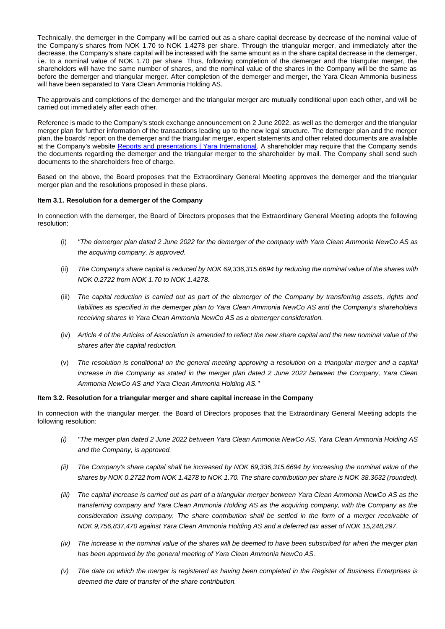Technically, the demerger in the Company will be carried out as a share capital decrease by decrease of the nominal value of the Company's shares from NOK 1.70 to NOK 1.4278 per share. Through the triangular merger, and immediately after the decrease, the Company's share capital will be increased with the same amount as in the share capital decrease in the demerger, i.e. to a nominal value of NOK 1.70 per share. Thus, following completion of the demerger and the triangular merger, the shareholders will have the same number of shares, and the nominal value of the shares in the Company will be the same as before the demerger and triangular merger. After completion of the demerger and merger, the Yara Clean Ammonia business will have been separated to Yara Clean Ammonia Holding AS.

The approvals and completions of the demerger and the triangular merger are mutually conditional upon each other, and will be carried out immediately after each other.

Reference is made to the Company's stock exchange announcement on 2 June 2022, as well as the demerger and the triangular merger plan for further information of the transactions leading up to the new legal structure. The demerger plan and the merger plan, the boards' report on the demerger and the triangular merger, expert statements and other related documents are available at the Company's website [Reports and presentations | Yara International.](https://www.yara.com/investor-relations/reports-presentations/) A shareholder may require that the Company sends the documents regarding the demerger and the triangular merger to the shareholder by mail. The Company shall send such documents to the shareholders free of charge.

Based on the above, the Board proposes that the Extraordinary General Meeting approves the demerger and the triangular merger plan and the resolutions proposed in these plans.

## **Item 3.1. Resolution for a demerger of the Company**

In connection with the demerger, the Board of Directors proposes that the Extraordinary General Meeting adopts the following resolution:

- (i) *"The demerger plan dated 2 June 2022 for the demerger of the company with Yara Clean Ammonia NewCo AS as the acquiring company, is approved.*
- (ii) *The Company's share capital is reduced by NOK 69,336,315.6694 by reducing the nominal value of the shares with NOK 0.2722 from NOK 1.70 to NOK 1.4278.*
- (iii) *The capital reduction is carried out as part of the demerger of the Company by transferring assets, rights and liabilities as specified in the demerger plan to Yara Clean Ammonia NewCo AS and the Company's shareholders receiving shares in Yara Clean Ammonia NewCo AS as a demerger consideration.*
- (iv) *Article 4 of the Articles of Association is amended to reflect the new share capital and the new nominal value of the shares after the capital reduction.*
- (v) *The resolution is conditional on the general meeting approving a resolution on a triangular merger and a capital increase in the Company as stated in the merger plan dated 2 June 2022 between the Company, Yara Clean Ammonia NewCo AS and Yara Clean Ammonia Holding AS."*

## **Item 3.2. Resolution for a triangular merger and share capital increase in the Company**

In connection with the triangular merger, the Board of Directors proposes that the Extraordinary General Meeting adopts the following resolution:

- *(i) "The merger plan dated 2 June 2022 between Yara Clean Ammonia NewCo AS, Yara Clean Ammonia Holding AS and the Company, is approved.*
- *(ii) The Company's share capital shall be increased by NOK 69,336,315.6694 by increasing the nominal value of the shares by NOK 0.2722 from NOK 1.4278 to NOK 1.70. The share contribution per share is NOK 38.3632 (rounded).*
- *(iii) The capital increase is carried out as part of a triangular merger between Yara Clean Ammonia NewCo AS as the transferring company and Yara Clean Ammonia Holding AS as the acquiring company, with the Company as the consideration issuing company. The share contribution shall be settled in the form of a merger receivable of NOK 9,756,837,470 against Yara Clean Ammonia Holding AS and a deferred tax asset of NOK 15,248,297.*
- *(iv) The increase in the nominal value of the shares will be deemed to have been subscribed for when the merger plan has been approved by the general meeting of Yara Clean Ammonia NewCo AS.*
- *(v) The date on which the merger is registered as having been completed in the Register of Business Enterprises is deemed the date of transfer of the share contribution.*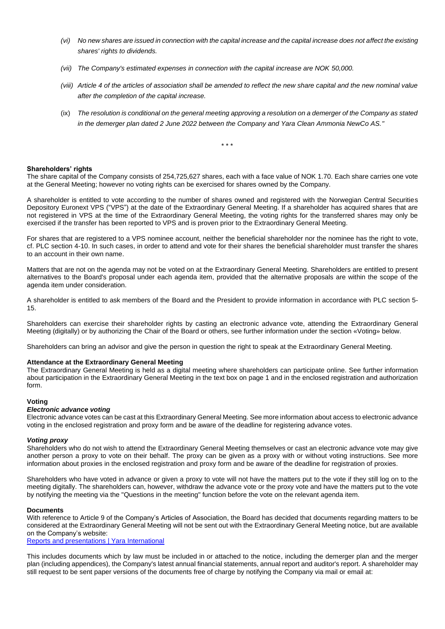- *(vi) No new shares are issued in connection with the capital increase and the capital increase does not affect the existing shares' rights to dividends.*
- *(vii) The Company's estimated expenses in connection with the capital increase are NOK 50,000.*
- *(viii) Article 4 of the articles of association shall be amended to reflect the new share capital and the new nominal value after the completion of the capital increase.*
- (ix) *The resolution is conditional on the general meeting approving a resolution on a demerger of the Company as stated in the demerger plan dated 2 June 2022 between the Company and Yara Clean Ammonia NewCo AS."*

\* \* \*

## **Shareholders' rights**

The share capital of the Company consists of 254,725,627 shares, each with a face value of NOK 1.70. Each share carries one vote at the General Meeting; however no voting rights can be exercised for shares owned by the Company.

A shareholder is entitled to vote according to the number of shares owned and registered with the Norwegian Central Securities Depository Euronext VPS ("VPS") at the date of the Extraordinary General Meeting. If a shareholder has acquired shares that are not registered in VPS at the time of the Extraordinary General Meeting, the voting rights for the transferred shares may only be exercised if the transfer has been reported to VPS and is proven prior to the Extraordinary General Meeting.

For shares that are registered to a VPS nominee account, neither the beneficial shareholder nor the nominee has the right to vote, cf. PLC section 4-10. In such cases, in order to attend and vote for their shares the beneficial shareholder must transfer the shares to an account in their own name.

Matters that are not on the agenda may not be voted on at the Extraordinary General Meeting. Shareholders are entitled to present alternatives to the Board's proposal under each agenda item, provided that the alternative proposals are within the scope of the agenda item under consideration.

A shareholder is entitled to ask members of the Board and the President to provide information in accordance with PLC section 5- 15.

Shareholders can exercise their shareholder rights by casting an electronic advance vote, attending the Extraordinary General Meeting (digitally) or by authorizing the Chair of the Board or others, see further information under the section «Voting» below.

Shareholders can bring an advisor and give the person in question the right to speak at the Extraordinary General Meeting.

#### **Attendance at the Extraordinary General Meeting**

The Extraordinary General Meeting is held as a digital meeting where shareholders can participate online. See further information about participation in the Extraordinary General Meeting in the text box on page 1 and in the enclosed registration and authorization form.

#### **Voting**

## *Electronic advance voting*

Electronic advance votes can be cast at this Extraordinary General Meeting. See more information about access to electronic advance voting in the enclosed registration and proxy form and be aware of the deadline for registering advance votes.

#### *Voting proxy*

Shareholders who do not wish to attend the Extraordinary General Meeting themselves or cast an electronic advance vote may give another person a proxy to vote on their behalf. The proxy can be given as a proxy with or without voting instructions. See more information about proxies in the enclosed registration and proxy form and be aware of the deadline for registration of proxies.

Shareholders who have voted in advance or given a proxy to vote will not have the matters put to the vote if they still log on to the meeting digitally. The shareholders can, however, withdraw the advance vote or the proxy vote and have the matters put to the vote by notifying the meeting via the "Questions in the meeting" function before the vote on the relevant agenda item.

## **Documents**

With reference to Article 9 of the Company's Articles of Association, the Board has decided that documents regarding matters to be considered at the Extraordinary General Meeting will not be sent out with the Extraordinary General Meeting notice, but are available on the Company's website:

[Reports and presentations | Yara International](https://www.yara.com/investor-relations/reports-presentations/)

This includes documents which by law must be included in or attached to the notice, including the demerger plan and the merger plan (including appendices), the Company's latest annual financial statements, annual report and auditor's report. A shareholder may still request to be sent paper versions of the documents free of charge by notifying the Company via mail or email at: